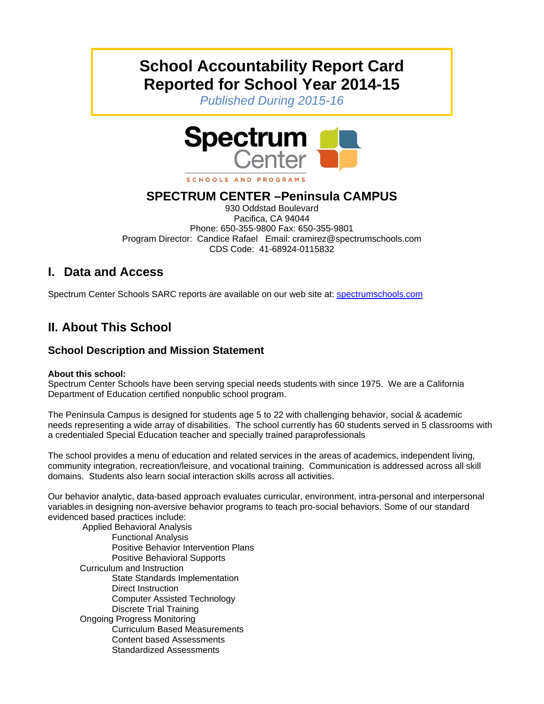# **School Accountability Report Card Reported for School Year 2014-15**

*Published During 2015-16* 



## **SPECTRUM CENTER –Peninsula CAMPUS**

930 Oddstad Boulevard Pacifica, CA 94044 Phone: 650-355-9800 Fax: 650-355-9801 Program Director: Candice Rafael Email: cramirez@spectrumschools.com CDS Code: 41-68924-0115832

## **I. Data and Access**

Spectrum Center Schools SARC reports are available on our web site at: spectrumschools.com

## **II. About This School**

### **School Description and Mission Statement**

#### **About this school:**

Spectrum Center Schools have been serving special needs students with since 1975. We are a California Department of Education certified nonpublic school program.

The Peninsula Campus is designed for students age 5 to 22 with challenging behavior, social & academic needs representing a wide array of disabilities. The school currently has 60 students served in 5 classrooms with a credentialed Special Education teacher and specially trained paraprofessionals

The school provides a menu of education and related services in the areas of academics, independent living, community integration, recreation/leisure, and vocational training. Communication is addressed across all skill domains. Students also learn social interaction skills across all activities.

Our behavior analytic, data-based approach evaluates curricular, environment, intra-personal and interpersonal variables in designing non-aversive behavior programs to teach pro-social behaviors. Some of our standard evidenced based practices include:

 Applied Behavioral Analysis Functional Analysis Positive Behavior Intervention Plans Positive Behavioral Supports Curriculum and Instruction State Standards Implementation Direct Instruction Computer Assisted Technology Discrete Trial Training Ongoing Progress Monitoring Curriculum Based Measurements Content based Assessments Standardized Assessments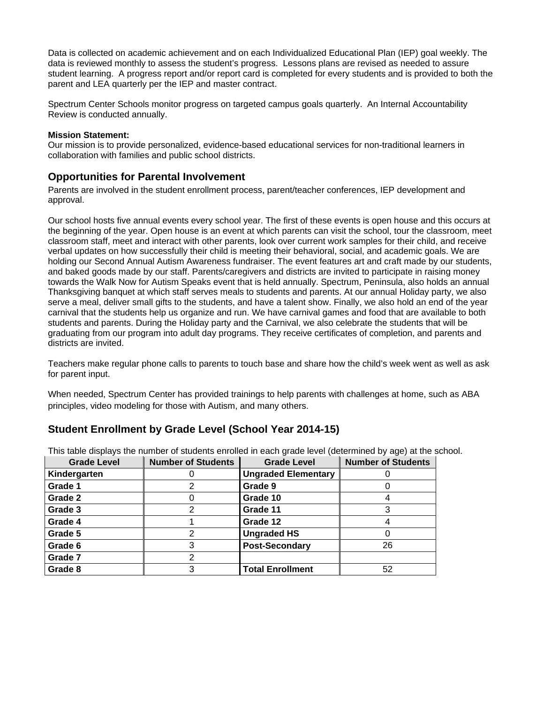Data is collected on academic achievement and on each Individualized Educational Plan (IEP) goal weekly. The data is reviewed monthly to assess the student's progress. Lessons plans are revised as needed to assure student learning. A progress report and/or report card is completed for every students and is provided to both the parent and LEA quarterly per the IEP and master contract.

Spectrum Center Schools monitor progress on targeted campus goals quarterly. An Internal Accountability Review is conducted annually.

#### **Mission Statement:**

Our mission is to provide personalized, evidence-based educational services for non-traditional learners in collaboration with families and public school districts.

#### **Opportunities for Parental Involvement**

Parents are involved in the student enrollment process, parent/teacher conferences, IEP development and approval.

Our school hosts five annual events every school year. The first of these events is open house and this occurs at the beginning of the year. Open house is an event at which parents can visit the school, tour the classroom, meet classroom staff, meet and interact with other parents, look over current work samples for their child, and receive verbal updates on how successfully their child is meeting their behavioral, social, and academic goals. We are holding our Second Annual Autism Awareness fundraiser. The event features art and craft made by our students, and baked goods made by our staff. Parents/caregivers and districts are invited to participate in raising money towards the Walk Now for Autism Speaks event that is held annually. Spectrum, Peninsula, also holds an annual Thanksgiving banquet at which staff serves meals to students and parents. At our annual Holiday party, we also serve a meal, deliver small gifts to the students, and have a talent show. Finally, we also hold an end of the year carnival that the students help us organize and run. We have carnival games and food that are available to both students and parents. During the Holiday party and the Carnival, we also celebrate the students that will be graduating from our program into adult day programs. They receive certificates of completion, and parents and districts are invited.

Teachers make regular phone calls to parents to touch base and share how the child's week went as well as ask for parent input.

When needed, Spectrum Center has provided trainings to help parents with challenges at home, such as ABA principles, video modeling for those with Autism, and many others.

#### **Student Enrollment by Grade Level (School Year 2014-15)**

| <b>Grade Level</b> | <b>Number of Students</b> | <b>Grade Level</b>         | <b>Number of Students</b> |
|--------------------|---------------------------|----------------------------|---------------------------|
| Kindergarten       |                           | <b>Ungraded Elementary</b> |                           |
| Grade 1            |                           | Grade 9                    |                           |
| Grade 2            |                           | Grade 10                   |                           |
| Grade 3            |                           | Grade 11                   |                           |
| Grade 4            |                           | Grade 12                   |                           |
| Grade 5            |                           | <b>Ungraded HS</b>         |                           |
| Grade 6            |                           | <b>Post-Secondary</b>      | 26                        |
| Grade 7            |                           |                            |                           |
| Grade 8            | 3                         | <b>Total Enrollment</b>    | 52                        |

This table displays the number of students enrolled in each grade level (determined by age) at the school.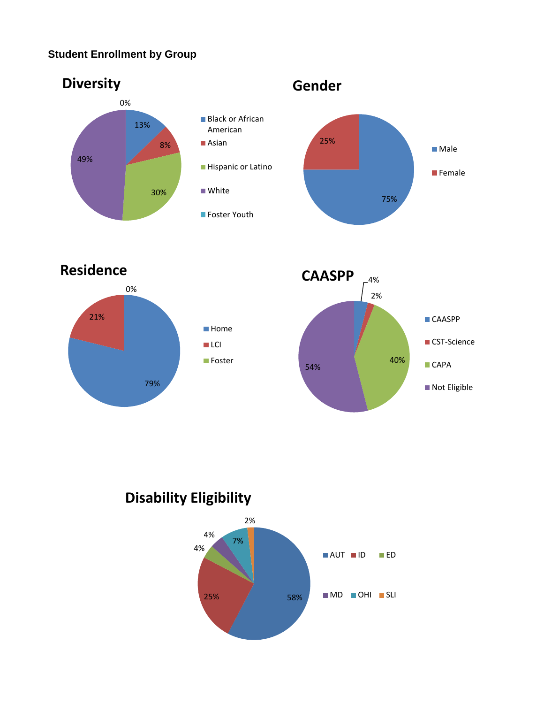## **Student Enrollment by Group**



**Residence**





# **Disability Eligibility**

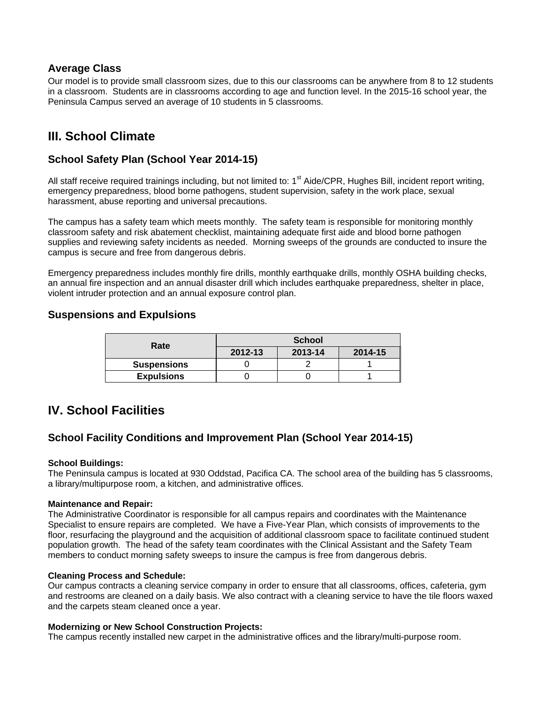#### **Average Class**

Our model is to provide small classroom sizes, due to this our classrooms can be anywhere from 8 to 12 students in a classroom. Students are in classrooms according to age and function level. In the 2015-16 school year, the Peninsula Campus served an average of 10 students in 5 classrooms.

## **III. School Climate**

#### **School Safety Plan (School Year 2014-15)**

All staff receive required trainings including, but not limited to:  $1<sup>st</sup>$  Aide/CPR, Hughes Bill, incident report writing, emergency preparedness, blood borne pathogens, student supervision, safety in the work place, sexual harassment, abuse reporting and universal precautions.

The campus has a safety team which meets monthly. The safety team is responsible for monitoring monthly classroom safety and risk abatement checklist, maintaining adequate first aide and blood borne pathogen supplies and reviewing safety incidents as needed. Morning sweeps of the grounds are conducted to insure the campus is secure and free from dangerous debris.

Emergency preparedness includes monthly fire drills, monthly earthquake drills, monthly OSHA building checks, an annual fire inspection and an annual disaster drill which includes earthquake preparedness, shelter in place, violent intruder protection and an annual exposure control plan.

#### **Suspensions and Expulsions**

| Rate               | <b>School</b> |         |         |  |  |
|--------------------|---------------|---------|---------|--|--|
|                    | 2012-13       | 2013-14 | 2014-15 |  |  |
| <b>Suspensions</b> |               |         |         |  |  |
| <b>Expulsions</b>  |               |         |         |  |  |

## **IV. School Facilities**

#### **School Facility Conditions and Improvement Plan (School Year 2014-15)**

#### **School Buildings:**

The Peninsula campus is located at 930 Oddstad, Pacifica CA. The school area of the building has 5 classrooms, a library/multipurpose room, a kitchen, and administrative offices.

#### **Maintenance and Repair:**

The Administrative Coordinator is responsible for all campus repairs and coordinates with the Maintenance Specialist to ensure repairs are completed. We have a Five-Year Plan, which consists of improvements to the floor, resurfacing the playground and the acquisition of additional classroom space to facilitate continued student population growth. The head of the safety team coordinates with the Clinical Assistant and the Safety Team members to conduct morning safety sweeps to insure the campus is free from dangerous debris.

#### **Cleaning Process and Schedule:**

Our campus contracts a cleaning service company in order to ensure that all classrooms, offices, cafeteria, gym and restrooms are cleaned on a daily basis. We also contract with a cleaning service to have the tile floors waxed and the carpets steam cleaned once a year.

#### **Modernizing or New School Construction Projects:**

The campus recently installed new carpet in the administrative offices and the library/multi-purpose room.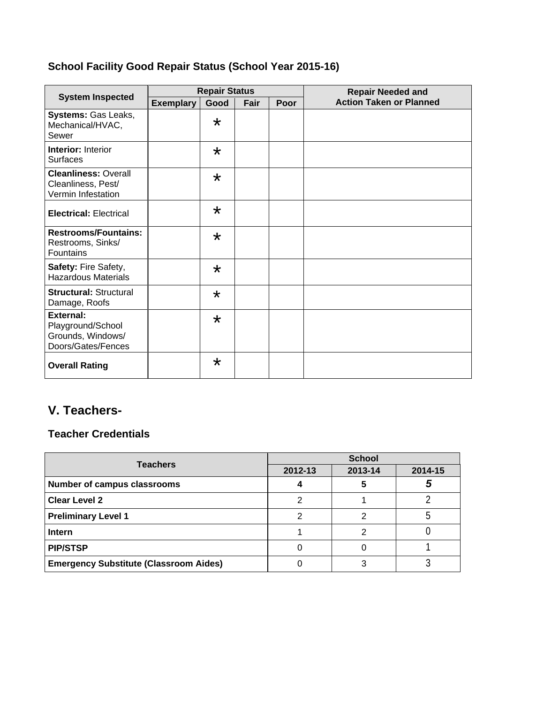## **School Facility Good Repair Status (School Year 2015-16)**

|                                                                           | <b>Repair Status</b> |         |      |      | <b>Repair Needed and</b>       |
|---------------------------------------------------------------------------|----------------------|---------|------|------|--------------------------------|
| <b>System Inspected</b>                                                   | <b>Exemplary</b>     | Good    | Fair | Poor | <b>Action Taken or Planned</b> |
| Systems: Gas Leaks,<br>Mechanical/HVAC,<br>Sewer                          |                      | $\star$ |      |      |                                |
| Interior: Interior<br><b>Surfaces</b>                                     |                      | $\star$ |      |      |                                |
| <b>Cleanliness: Overall</b><br>Cleanliness, Pest/<br>Vermin Infestation   |                      | $\star$ |      |      |                                |
| <b>Electrical: Electrical</b>                                             |                      | $\star$ |      |      |                                |
| <b>Restrooms/Fountains:</b><br>Restrooms, Sinks/<br><b>Fountains</b>      |                      | $\star$ |      |      |                                |
| Safety: Fire Safety,<br><b>Hazardous Materials</b>                        |                      | $\star$ |      |      |                                |
| <b>Structural: Structural</b><br>Damage, Roofs                            |                      | $\star$ |      |      |                                |
| External:<br>Playground/School<br>Grounds, Windows/<br>Doors/Gates/Fences |                      | $\star$ |      |      |                                |
| <b>Overall Rating</b>                                                     |                      | $\star$ |      |      |                                |

## **V. Teachers-**

## **Teacher Credentials**

| <b>Teachers</b>                               | <b>School</b> |         |         |  |
|-----------------------------------------------|---------------|---------|---------|--|
|                                               | 2012-13       | 2013-14 | 2014-15 |  |
| <b>Number of campus classrooms</b>            |               |         |         |  |
| <b>Clear Level 2</b>                          |               |         |         |  |
| <b>Preliminary Level 1</b>                    |               |         |         |  |
| <b>Intern</b>                                 |               |         |         |  |
| <b>PIP/STSP</b>                               |               |         |         |  |
| <b>Emergency Substitute (Classroom Aides)</b> |               |         |         |  |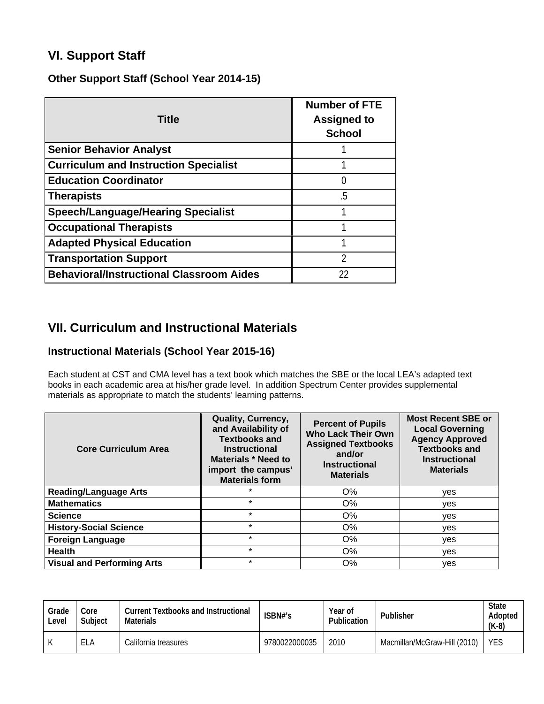## **VI. Support Staff**

#### **Other Support Staff (School Year 2014-15)**

| <b>Title</b>                                    | <b>Number of FTE</b><br><b>Assigned to</b><br><b>School</b> |
|-------------------------------------------------|-------------------------------------------------------------|
| <b>Senior Behavior Analyst</b>                  |                                                             |
| <b>Curriculum and Instruction Specialist</b>    |                                                             |
| <b>Education Coordinator</b>                    | 0                                                           |
| <b>Therapists</b>                               | .5                                                          |
| <b>Speech/Language/Hearing Specialist</b>       |                                                             |
| <b>Occupational Therapists</b>                  |                                                             |
| <b>Adapted Physical Education</b>               |                                                             |
| <b>Transportation Support</b>                   | 2                                                           |
| <b>Behavioral/Instructional Classroom Aides</b> | 22                                                          |

## **VII. Curriculum and Instructional Materials**

### **Instructional Materials (School Year 2015-16)**

Each student at CST and CMA level has a text book which matches the SBE or the local LEA's adapted text books in each academic area at his/her grade level. In addition Spectrum Center provides supplemental materials as appropriate to match the students' learning patterns.

| <b>Core Curriculum Area</b>       | <b>Quality, Currency,</b><br>and Availability of<br><b>Textbooks and</b><br><b>Instructional</b><br><b>Materials * Need to</b><br>import the campus'<br><b>Materials form</b> | <b>Percent of Pupils</b><br><b>Who Lack Their Own</b><br><b>Assigned Textbooks</b><br>and/or<br><b>Instructional</b><br><b>Materials</b> | <b>Most Recent SBE or</b><br><b>Local Governing</b><br><b>Agency Approved</b><br><b>Textbooks and</b><br><b>Instructional</b><br><b>Materials</b> |  |
|-----------------------------------|-------------------------------------------------------------------------------------------------------------------------------------------------------------------------------|------------------------------------------------------------------------------------------------------------------------------------------|---------------------------------------------------------------------------------------------------------------------------------------------------|--|
| <b>Reading/Language Arts</b>      | $\star$                                                                                                                                                                       | $O\%$                                                                                                                                    | yes                                                                                                                                               |  |
| <b>Mathematics</b>                | $\star$                                                                                                                                                                       | $O\%$                                                                                                                                    | yes                                                                                                                                               |  |
| <b>Science</b>                    | $\star$                                                                                                                                                                       | $O\%$                                                                                                                                    | yes                                                                                                                                               |  |
| <b>History-Social Science</b>     | $\star$                                                                                                                                                                       | $O\%$                                                                                                                                    | ves                                                                                                                                               |  |
| <b>Foreign Language</b>           | $\star$                                                                                                                                                                       | O%                                                                                                                                       | yes                                                                                                                                               |  |
| <b>Health</b>                     | $\star$                                                                                                                                                                       | $O\%$                                                                                                                                    | yes                                                                                                                                               |  |
| <b>Visual and Performing Arts</b> | $\star$                                                                                                                                                                       | $O\%$                                                                                                                                    | yes                                                                                                                                               |  |

| Grade<br>Level | Core<br>Subject | <b>Current Textbooks and Instructional</b><br><b>Materials</b> | ISBN#'s       | Year of<br>Publication | Publisher                    | <b>State</b><br>Adopted<br>$(K-8)$ |
|----------------|-----------------|----------------------------------------------------------------|---------------|------------------------|------------------------------|------------------------------------|
|                | ELA             | California treasures                                           | 9780022000035 | 2010                   | Macmillan/McGraw-Hill (2010) | <b>YES</b>                         |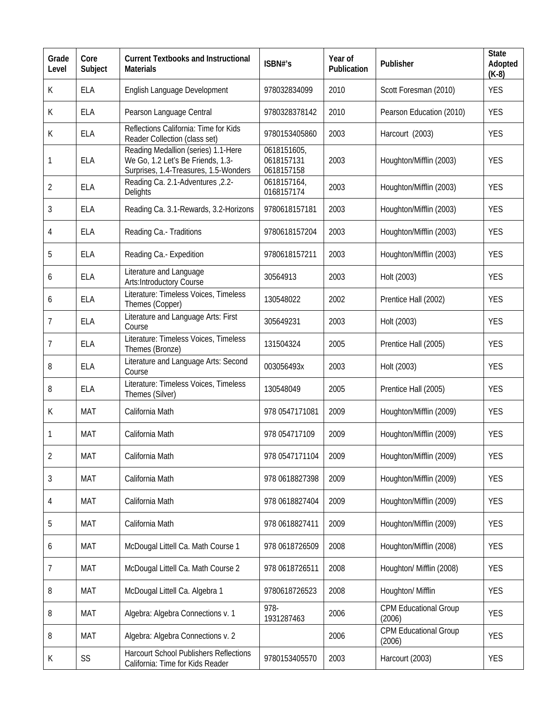| Grade<br>Level | Core<br>Subject | <b>Current Textbooks and Instructional</b><br><b>Materials</b>                                                    | ISBN#'s                                 | Year of<br>Publication | Publisher                              | <b>State</b><br>Adopted<br>$(K-8)$ |
|----------------|-----------------|-------------------------------------------------------------------------------------------------------------------|-----------------------------------------|------------------------|----------------------------------------|------------------------------------|
| К              | <b>ELA</b>      | English Language Development                                                                                      | 978032834099                            | 2010                   | Scott Foresman (2010)                  | <b>YES</b>                         |
| К              | <b>ELA</b>      | Pearson Language Central                                                                                          | 9780328378142                           | 2010                   | Pearson Education (2010)               | <b>YES</b>                         |
| К              | <b>ELA</b>      | Reflections California: Time for Kids<br>Reader Collection (class set)                                            | 9780153405860                           | 2003                   | Harcourt (2003)                        | <b>YES</b>                         |
| 1              | <b>ELA</b>      | Reading Medallion (series) 1.1-Here<br>We Go, 1.2 Let's Be Friends, 1.3-<br>Surprises, 1.4-Treasures, 1.5-Wonders | 0618151605,<br>0618157131<br>0618157158 | 2003                   | Houghton/Mifflin (2003)                | <b>YES</b>                         |
| $\overline{2}$ | <b>ELA</b>      | Reading Ca. 2.1-Adventures, 2.2-<br><b>Delights</b>                                                               | 0618157164,<br>0168157174               | 2003                   | Houghton/Mifflin (2003)                | <b>YES</b>                         |
| 3              | <b>ELA</b>      | Reading Ca. 3.1-Rewards, 3.2-Horizons                                                                             | 9780618157181                           | 2003                   | Houghton/Mifflin (2003)                | <b>YES</b>                         |
| 4              | <b>ELA</b>      | Reading Ca.- Traditions                                                                                           | 9780618157204                           | 2003                   | Houghton/Mifflin (2003)                | <b>YES</b>                         |
| 5              | <b>ELA</b>      | Reading Ca.- Expedition                                                                                           | 9780618157211                           | 2003                   | Houghton/Mifflin (2003)                | <b>YES</b>                         |
| 6              | <b>ELA</b>      | Literature and Language<br>Arts: Introductory Course                                                              | 30564913                                | 2003                   | Holt (2003)                            | <b>YES</b>                         |
| 6              | <b>ELA</b>      | Literature: Timeless Voices, Timeless<br>Themes (Copper)                                                          | 130548022                               | 2002                   | Prentice Hall (2002)                   | <b>YES</b>                         |
| 7              | <b>ELA</b>      | Literature and Language Arts: First<br>Course                                                                     | 305649231                               | 2003                   | Holt (2003)                            | <b>YES</b>                         |
| 7              | <b>ELA</b>      | Literature: Timeless Voices, Timeless<br>Themes (Bronze)                                                          | 131504324                               | 2005                   | Prentice Hall (2005)                   | <b>YES</b>                         |
| 8              | <b>ELA</b>      | Literature and Language Arts: Second<br>Course                                                                    | 003056493x                              | 2003                   | Holt (2003)                            | <b>YES</b>                         |
| 8              | <b>ELA</b>      | Literature: Timeless Voices, Timeless<br>Themes (Silver)                                                          | 130548049                               | 2005                   | Prentice Hall (2005)                   | <b>YES</b>                         |
| К              | <b>MAT</b>      | California Math                                                                                                   | 978 0547171081                          | 2009                   | Houghton/Mifflin (2009)                | <b>YES</b>                         |
| 1              | <b>MAT</b>      | California Math                                                                                                   | 978 054717109                           | 2009                   | Houghton/Mifflin (2009)                | <b>YES</b>                         |
| $\overline{2}$ | <b>MAT</b>      | California Math                                                                                                   | 978 0547171104                          | 2009                   | Houghton/Mifflin (2009)                | <b>YES</b>                         |
| 3              | <b>MAT</b>      | California Math                                                                                                   | 978 0618827398                          | 2009                   | Houghton/Mifflin (2009)                | <b>YES</b>                         |
| 4              | <b>MAT</b>      | California Math                                                                                                   | 978 0618827404                          | 2009                   | Houghton/Mifflin (2009)                | <b>YES</b>                         |
| 5              | MAT             | California Math                                                                                                   | 978 0618827411                          | 2009                   | Houghton/Mifflin (2009)                | <b>YES</b>                         |
| 6              | <b>MAT</b>      | McDougal Littell Ca. Math Course 1                                                                                | 978 0618726509                          | 2008                   | Houghton/Mifflin (2008)                | <b>YES</b>                         |
| $\overline{7}$ | MAT             | McDougal Littell Ca. Math Course 2                                                                                | 978 0618726511                          | 2008                   | Houghton/ Mifflin (2008)               | <b>YES</b>                         |
| 8              | <b>MAT</b>      | McDougal Littell Ca. Algebra 1                                                                                    | 9780618726523                           | 2008                   | Houghton/ Mifflin                      | <b>YES</b>                         |
| 8              | <b>MAT</b>      | Algebra: Algebra Connections v. 1                                                                                 | 978-<br>1931287463                      | 2006                   | <b>CPM Educational Group</b><br>(2006) | <b>YES</b>                         |
| 8              | <b>MAT</b>      | Algebra: Algebra Connections v. 2                                                                                 |                                         | 2006                   | <b>CPM Educational Group</b><br>(2006) | <b>YES</b>                         |
| K              | SS              | <b>Harcourt School Publishers Reflections</b><br>California: Time for Kids Reader                                 | 9780153405570                           | 2003                   | Harcourt (2003)                        | <b>YES</b>                         |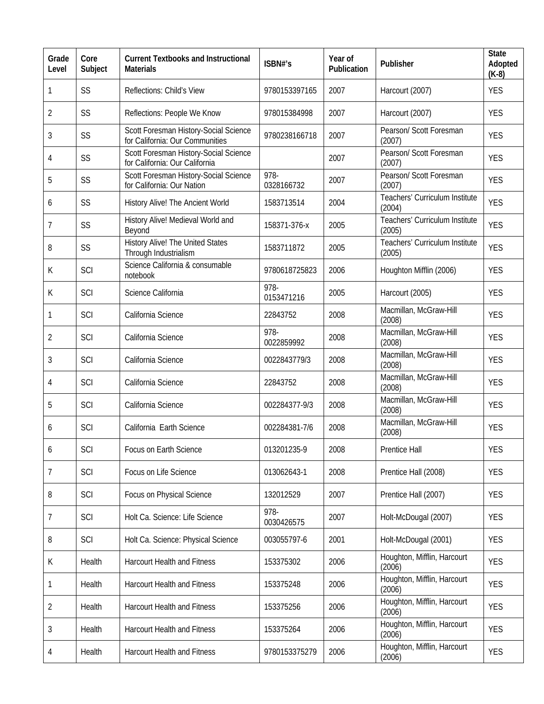| Grade<br>Level | Core<br>Subject | <b>Current Textbooks and Instructional</b><br><b>Materials</b>           | ISBN#'s            | Year of<br>Publication | Publisher                                | <b>State</b><br>Adopted<br>$(K-8)$ |
|----------------|-----------------|--------------------------------------------------------------------------|--------------------|------------------------|------------------------------------------|------------------------------------|
| 1              | SS              | Reflections: Child's View                                                | 9780153397165      | 2007                   | Harcourt (2007)                          | <b>YES</b>                         |
| $\overline{2}$ | SS              | Reflections: People We Know                                              | 978015384998       | 2007                   | Harcourt (2007)                          | <b>YES</b>                         |
| 3              | SS              | Scott Foresman History-Social Science<br>for California: Our Communities | 9780238166718      | 2007                   | Pearson/ Scott Foresman<br>(2007)        | <b>YES</b>                         |
| 4              | SS              | Scott Foresman History-Social Science<br>for California: Our California  |                    | 2007                   | Pearson/ Scott Foresman<br>(2007)        | <b>YES</b>                         |
| 5              | SS              | Scott Foresman History-Social Science<br>for California: Our Nation      | 978-<br>0328166732 | 2007                   | Pearson/ Scott Foresman<br>(2007)        | <b>YES</b>                         |
| 6              | SS              | History Alive! The Ancient World                                         | 1583713514         | 2004                   | Teachers' Curriculum Institute<br>(2004) | <b>YES</b>                         |
| 7              | SS              | History Alive! Medieval World and<br>Beyond                              | 158371-376-x       | 2005                   | Teachers' Curriculum Institute<br>(2005) | <b>YES</b>                         |
| 8              | SS              | <b>History Alive! The United States</b><br>Through Industrialism         | 1583711872         | 2005                   | Teachers' Curriculum Institute<br>(2005) | <b>YES</b>                         |
| К              | SCI             | Science California & consumable<br>notebook                              | 9780618725823      | 2006                   | Houghton Mifflin (2006)                  | <b>YES</b>                         |
| К              | SCI             | Science California                                                       | 978-<br>0153471216 | 2005                   | Harcourt (2005)                          | <b>YES</b>                         |
| 1              | SCI             | California Science                                                       | 22843752           | 2008                   | Macmillan, McGraw-Hill<br>(2008)         | <b>YES</b>                         |
| 2              | SCI             | California Science                                                       | 978-<br>0022859992 | 2008                   | Macmillan, McGraw-Hill<br>(2008)         | <b>YES</b>                         |
| 3              | SCI             | California Science                                                       | 0022843779/3       | 2008                   | Macmillan, McGraw-Hill<br>(2008)         | <b>YES</b>                         |
| 4              | SCI             | California Science                                                       | 22843752           | 2008                   | Macmillan, McGraw-Hill<br>(2008)         | <b>YES</b>                         |
| 5              | SCI             | California Science                                                       | 002284377-9/3      | 2008                   | Macmillan, McGraw-Hill<br>(2008)         | <b>YES</b>                         |
| 6              | SCI             | California Earth Science                                                 | 002284381-7/6      | 2008                   | Macmillan, McGraw-Hill<br>(2008)         | <b>YES</b>                         |
| 6              | SCI             | Focus on Earth Science                                                   | 013201235-9        | 2008                   | Prentice Hall                            | <b>YES</b>                         |
| $\overline{7}$ | SCI             | Focus on Life Science                                                    | 013062643-1        | 2008                   | Prentice Hall (2008)                     | <b>YES</b>                         |
| 8              | SCI             | Focus on Physical Science                                                | 132012529          | 2007                   | Prentice Hall (2007)                     | <b>YES</b>                         |
| $\overline{7}$ | SCI             | Holt Ca. Science: Life Science                                           | 978-<br>0030426575 | 2007                   | Holt-McDougal (2007)                     | <b>YES</b>                         |
| 8              | SCI             | Holt Ca. Science: Physical Science                                       | 003055797-6        | 2001                   | Holt-McDougal (2001)                     | <b>YES</b>                         |
| К              | Health          | <b>Harcourt Health and Fitness</b>                                       | 153375302          | 2006                   | Houghton, Mifflin, Harcourt<br>(2006)    | <b>YES</b>                         |
| 1              | Health          | <b>Harcourt Health and Fitness</b>                                       | 153375248          | 2006                   | Houghton, Mifflin, Harcourt<br>(2006)    | <b>YES</b>                         |
| $\overline{2}$ | Health          | <b>Harcourt Health and Fitness</b>                                       | 153375256          | 2006                   | Houghton, Mifflin, Harcourt<br>(2006)    | <b>YES</b>                         |
| 3              | Health          | <b>Harcourt Health and Fitness</b>                                       | 153375264          | 2006                   | Houghton, Mifflin, Harcourt<br>(2006)    | <b>YES</b>                         |
| 4              | Health          | Harcourt Health and Fitness                                              | 9780153375279      | 2006                   | Houghton, Mifflin, Harcourt<br>(2006)    | <b>YES</b>                         |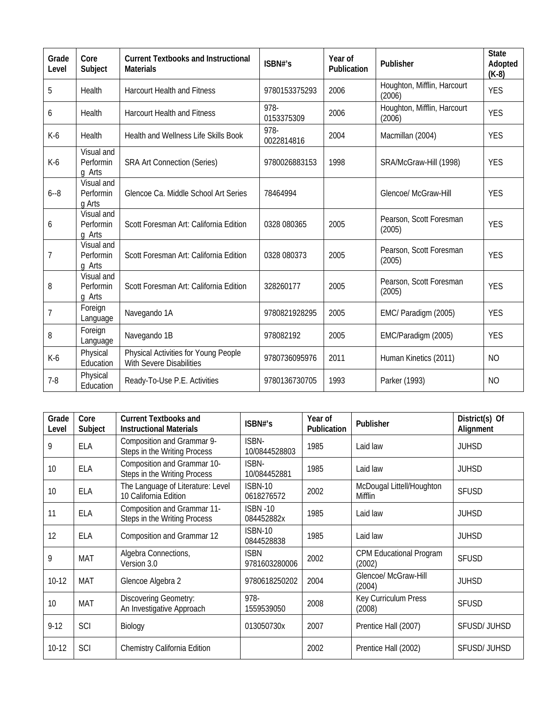| Grade<br>Level | Core<br>Subject                   | <b>Current Textbooks and Instructional</b><br><b>Materials</b>   | ISBN#'s            | Year of<br>Publication | Publisher                             | <b>State</b><br>Adopted<br>$(K-8)$ |
|----------------|-----------------------------------|------------------------------------------------------------------|--------------------|------------------------|---------------------------------------|------------------------------------|
| 5              | Health                            | <b>Harcourt Health and Fitness</b>                               | 9780153375293      | 2006                   | Houghton, Mifflin, Harcourt<br>(2006) | <b>YES</b>                         |
| 6              | Health                            | <b>Harcourt Health and Fitness</b>                               | 978-<br>0153375309 | 2006                   | Houghton, Mifflin, Harcourt<br>(2006) | <b>YES</b>                         |
| $K-6$          | Health                            | Health and Wellness Life Skills Book                             | 978-<br>0022814816 | 2004                   | Macmillan (2004)                      | <b>YES</b>                         |
| $K-6$          | Visual and<br>Performin<br>q Arts | <b>SRA Art Connection (Series)</b>                               | 9780026883153      | 1998                   | SRA/McGraw-Hill (1998)                | <b>YES</b>                         |
| $6 - 8$        | Visual and<br>Performin<br>g Arts | Glencoe Ca. Middle School Art Series                             | 78464994           |                        | <b>Glencoe/ McGraw-Hill</b>           | <b>YES</b>                         |
| 6              | Visual and<br>Performin<br>g Arts | Scott Foresman Art: California Edition                           | 0328 080365        | 2005                   | Pearson, Scott Foresman<br>(2005)     | <b>YES</b>                         |
| 7              | Visual and<br>Performin<br>g Arts | Scott Foresman Art: California Edition                           | 0328 080373        | 2005                   | Pearson, Scott Foresman<br>(2005)     | <b>YES</b>                         |
| 8              | Visual and<br>Performin<br>q Arts | Scott Foresman Art: California Edition                           | 328260177          | 2005                   | Pearson, Scott Foresman<br>(2005)     | <b>YES</b>                         |
| $\overline{1}$ | Foreign<br>Language               | Navegando 1A                                                     | 9780821928295      | 2005                   | EMC/ Paradigm (2005)                  | <b>YES</b>                         |
| 8              | Foreign<br>Language               | Navegando 1B                                                     | 978082192          | 2005                   | EMC/Paradigm (2005)                   | <b>YES</b>                         |
| $K-6$          | Physical<br>Education             | Physical Activities for Young People<br>With Severe Disabilities | 9780736095976      | 2011                   | Human Kinetics (2011)                 | N <sub>O</sub>                     |
| $7-8$          | Physical<br>Education             | Ready-To-Use P.E. Activities                                     | 9780136730705      | 1993                   | Parker (1993)                         | N <sub>O</sub>                     |

| Grade<br>Level | Core<br>Subject | <b>Current Textbooks and</b><br><b>Instructional Materials</b> | ISBN#'s                       | Year of<br>Publication | Publisher                                | District(s) Of<br>Alignment |
|----------------|-----------------|----------------------------------------------------------------|-------------------------------|------------------------|------------------------------------------|-----------------------------|
| 9              | <b>ELA</b>      | Composition and Grammar 9-<br>Steps in the Writing Process     | ISBN-<br>10/0844528803        | 1985                   | Laid law                                 | <b>JUHSD</b>                |
| 10             | <b>ELA</b>      | Composition and Grammar 10-<br>Steps in the Writing Process    | ISBN-<br>10/084452881         | 1985                   | Laid law                                 | <b>JUHSD</b>                |
| 10             | <b>ELA</b>      | The Language of Literature: Level<br>10 California Edition     | <b>ISBN-10</b><br>0618276572  | 2002                   | McDougal Littell/Houghton<br>Mifflin     | <b>SFUSD</b>                |
| 11             | ELA             | Composition and Grammar 11-<br>Steps in the Writing Process    | <b>ISBN -10</b><br>084452882x | 1985                   | Laid law                                 | <b>JUHSD</b>                |
| 12             | <b>ELA</b>      | Composition and Grammar 12                                     | <b>ISBN-10</b><br>0844528838  | 1985                   | Laid law                                 | <b>JUHSD</b>                |
| 9              | <b>MAT</b>      | Algebra Connections,<br>Version 3.0                            | <b>ISBN</b><br>9781603280006  | 2002                   | <b>CPM Educational Program</b><br>(2002) | <b>SFUSD</b>                |
| $10-12$        | MAT             | Glencoe Algebra 2                                              | 9780618250202                 | 2004                   | Glencoe/ McGraw-Hill<br>(2004)           | <b>JUHSD</b>                |
| 10             | <b>MAT</b>      | <b>Discovering Geometry:</b><br>An Investigative Approach      | 978-<br>1559539050            | 2008                   | Key Curriculum Press<br>(2008)           | <b>SFUSD</b>                |
| $9-12$         | SCI             | Biology                                                        | 013050730x                    | 2007                   | Prentice Hall (2007)                     | <b>SFUSD/JUHSD</b>          |
| $10-12$        | SCI             | Chemistry California Edition                                   |                               | 2002                   | Prentice Hall (2002)                     | SFUSD/JUHSD                 |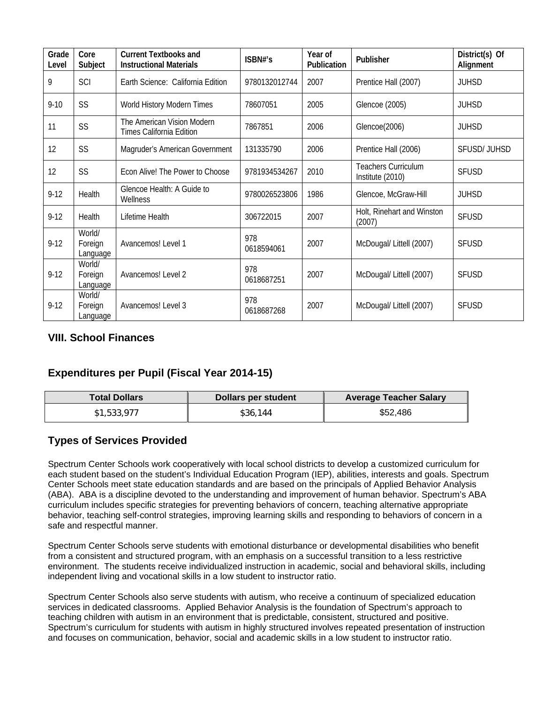| Grade<br>Level | Core<br>Subject               | <b>Current Textbooks and</b><br><b>Instructional Materials</b> | ISBN#'s           | Year of<br>Publication | Publisher                                      | District(s) Of<br>Alignment |
|----------------|-------------------------------|----------------------------------------------------------------|-------------------|------------------------|------------------------------------------------|-----------------------------|
| 9              | SCI                           | Earth Science: California Edition                              | 9780132012744     | 2007                   | Prentice Hall (2007)                           | <b>JUHSD</b>                |
| $9 - 10$       | <b>SS</b>                     | World History Modern Times                                     | 78607051          | 2005                   | Glencoe (2005)                                 | <b>JUHSD</b>                |
| 11             | SS                            | The American Vision Modern<br>Times California Edition         | 7867851           | 2006                   | Glencoe(2006)                                  | <b>JUHSD</b>                |
| 12             | SS                            | Magruder's American Government                                 | 131335790         | 2006                   | Prentice Hall (2006)                           | SFUSD/JUHSD                 |
| 12             | SS                            | Econ Alive! The Power to Choose                                | 9781934534267     | 2010                   | <b>Teachers Curriculum</b><br>Institute (2010) | <b>SFUSD</b>                |
| $9-12$         | Health                        | Glencoe Health: A Guide to<br>Wellness                         | 9780026523806     | 1986                   | Glencoe, McGraw-Hill                           | <b>JUHSD</b>                |
| $9 - 12$       | Health                        | Lifetime Health                                                | 306722015         | 2007                   | Holt, Rinehart and Winston<br>(2007)           | <b>SFUSD</b>                |
| $9 - 12$       | World/<br>Foreign<br>Language | Avancemos! Level 1                                             | 978<br>0618594061 | 2007                   | McDougal/ Littell (2007)                       | <b>SFUSD</b>                |
| $9 - 12$       | World/<br>Foreign<br>Language | Avancemos! Level 2                                             | 978<br>0618687251 | 2007                   | McDougal/ Littell (2007)                       | <b>SFUSD</b>                |
| $9 - 12$       | World/<br>Foreign<br>Language | Avancemos! Level 3                                             | 978<br>0618687268 | 2007                   | McDougal/ Littell (2007)                       | <b>SFUSD</b>                |

### **VIII. School Finances**

### **Expenditures per Pupil (Fiscal Year 2014-15)**

| <b>Total Dollars</b> | Dollars per student | <b>Average Teacher Salary</b> |
|----------------------|---------------------|-------------------------------|
| \$1,533,977          | \$36,144            | \$52,486                      |

#### **Types of Services Provided**

Spectrum Center Schools work cooperatively with local school districts to develop a customized curriculum for each student based on the student's Individual Education Program (IEP), abilities, interests and goals. Spectrum Center Schools meet state education standards and are based on the principals of Applied Behavior Analysis (ABA). ABA is a discipline devoted to the understanding and improvement of human behavior. Spectrum's ABA curriculum includes specific strategies for preventing behaviors of concern, teaching alternative appropriate behavior, teaching self-control strategies, improving learning skills and responding to behaviors of concern in a safe and respectful manner.

Spectrum Center Schools serve students with emotional disturbance or developmental disabilities who benefit from a consistent and structured program, with an emphasis on a successful transition to a less restrictive environment. The students receive individualized instruction in academic, social and behavioral skills, including independent living and vocational skills in a low student to instructor ratio.

Spectrum Center Schools also serve students with autism, who receive a continuum of specialized education services in dedicated classrooms. Applied Behavior Analysis is the foundation of Spectrum's approach to teaching children with autism in an environment that is predictable, consistent, structured and positive. Spectrum's curriculum for students with autism in highly structured involves repeated presentation of instruction and focuses on communication, behavior, social and academic skills in a low student to instructor ratio.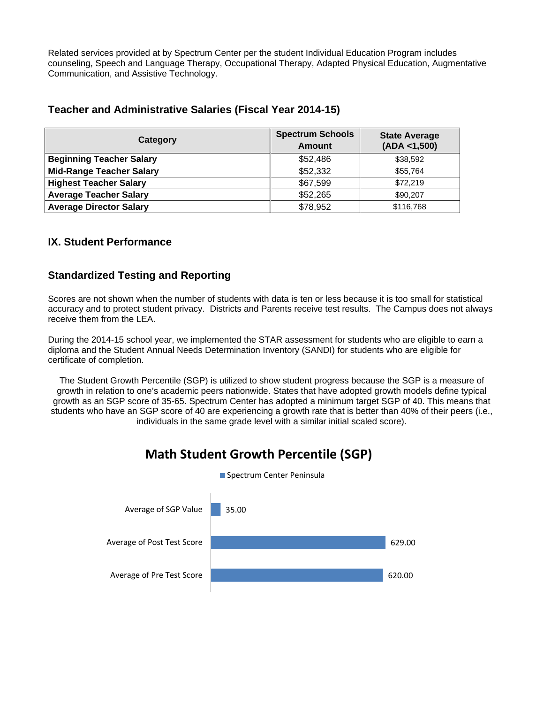Related services provided at by Spectrum Center per the student Individual Education Program includes counseling, Speech and Language Therapy, Occupational Therapy, Adapted Physical Education, Augmentative Communication, and Assistive Technology.

#### **Teacher and Administrative Salaries (Fiscal Year 2014-15)**

| Category                        | <b>Spectrum Schools</b><br>Amount | <b>State Average</b><br>(ADA < 1,500) |
|---------------------------------|-----------------------------------|---------------------------------------|
| <b>Beginning Teacher Salary</b> | \$52,486                          | \$38,592                              |
| <b>Mid-Range Teacher Salary</b> | \$52,332                          | \$55.764                              |
| <b>Highest Teacher Salary</b>   | \$67,599                          | \$72,219                              |
| <b>Average Teacher Salary</b>   | \$52,265                          | \$90,207                              |
| <b>Average Director Salary</b>  | \$78,952                          | \$116,768                             |

#### **IX. Student Performance**

#### **Standardized Testing and Reporting**

Scores are not shown when the number of students with data is ten or less because it is too small for statistical accuracy and to protect student privacy. Districts and Parents receive test results. The Campus does not always receive them from the LEA.

During the 2014-15 school year, we implemented the STAR assessment for students who are eligible to earn a diploma and the Student Annual Needs Determination Inventory (SANDI) for students who are eligible for certificate of completion.

The Student Growth Percentile (SGP) is utilized to show student progress because the SGP is a measure of growth in relation to one's academic peers nationwide. States that have adopted growth models define typical growth as an SGP score of 35-65. Spectrum Center has adopted a minimum target SGP of 40. This means that students who have an SGP score of 40 are experiencing a growth rate that is better than 40% of their peers (i.e., individuals in the same grade level with a similar initial scaled score).



## **Math Student Growth Percentile (SGP)**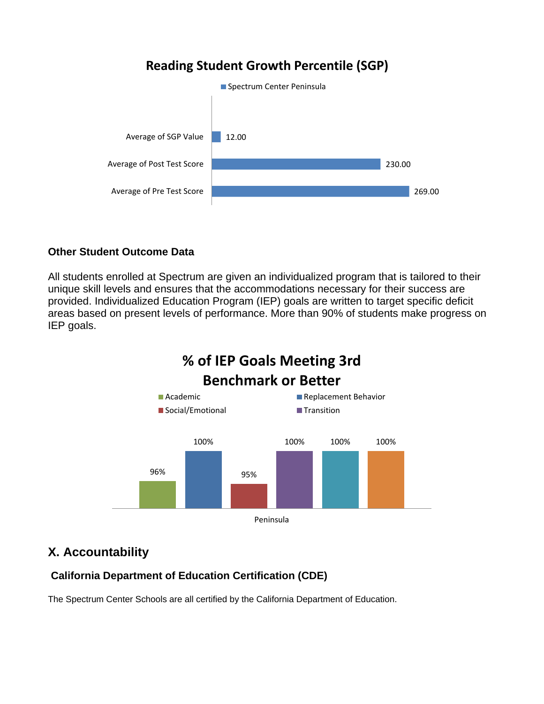## **Reading Student Growth Percentile (SGP)**



#### **Other Student Outcome Data**

All students enrolled at Spectrum are given an individualized program that is tailored to their unique skill levels and ensures that the accommodations necessary for their success are provided. Individualized Education Program (IEP) goals are written to target specific deficit areas based on present levels of performance. More than 90% of students make progress on IEP goals.



## **X. Accountability**

## **California Department of Education Certification (CDE)**

The Spectrum Center Schools are all certified by the California Department of Education.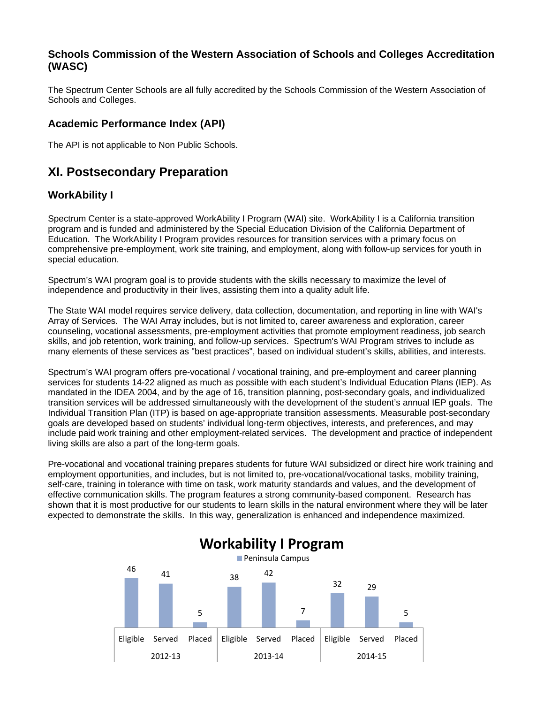#### **Schools Commission of the Western Association of Schools and Colleges Accreditation (WASC)**

The Spectrum Center Schools are all fully accredited by the Schools Commission of the Western Association of Schools and Colleges.

#### **Academic Performance Index (API)**

The API is not applicable to Non Public Schools.

## **XI. Postsecondary Preparation**

#### **WorkAbility I**

Spectrum Center is a state-approved WorkAbility I Program (WAI) site. WorkAbility I is a California transition program and is funded and administered by the Special Education Division of the California Department of Education. The WorkAbility I Program provides resources for transition services with a primary focus on comprehensive pre-employment, work site training, and employment, along with follow-up services for youth in special education.

Spectrum's WAI program goal is to provide students with the skills necessary to maximize the level of independence and productivity in their lives, assisting them into a quality adult life.

The State WAI model requires service delivery, data collection, documentation, and reporting in line with WAI's Array of Services. The WAI Array includes, but is not limited to, career awareness and exploration, career counseling, vocational assessments, pre-employment activities that promote employment readiness, job search skills, and job retention, work training, and follow-up services. Spectrum's WAI Program strives to include as many elements of these services as "best practices", based on individual student's skills, abilities, and interests.

Spectrum's WAI program offers pre-vocational / vocational training, and pre-employment and career planning services for students 14-22 aligned as much as possible with each student's Individual Education Plans (IEP). As mandated in the IDEA 2004, and by the age of 16, transition planning, post-secondary goals, and individualized transition services will be addressed simultaneously with the development of the student's annual IEP goals. The Individual Transition Plan (ITP) is based on age-appropriate transition assessments. Measurable post-secondary goals are developed based on students' individual long-term objectives, interests, and preferences, and may include paid work training and other employment-related services. The development and practice of independent living skills are also a part of the long-term goals.

Pre-vocational and vocational training prepares students for future WAI subsidized or direct hire work training and employment opportunities, and includes, but is not limited to, pre-vocational/vocational tasks, mobility training, self-care, training in tolerance with time on task, work maturity standards and values, and the development of effective communication skills. The program features a strong community-based component. Research has shown that it is most productive for our students to learn skills in the natural environment where they will be later expected to demonstrate the skills. In this way, generalization is enhanced and independence maximized.